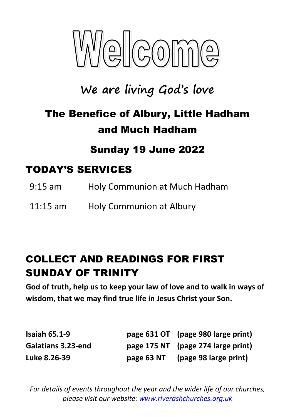

# **We are living God's love**

# The Benefice of Albury, Little Hadham and Much Hadham

### Sunday 19 June 2022

### TODAY'S SERVICES

- 9:15 am Holy Communion at Much Hadham
- 11:15 am Holy Communion at Albury

### COLLECT AND READINGS FOR FIRST SUNDAY OF TRINITY

**God of truth, help us to keep your law of love and to walk in ways of wisdom, that we may find true life in Jesus Christ your Son.**

| <b>Isaiah 65.1-9</b> |            | page 631 OT (page 980 large print) |
|----------------------|------------|------------------------------------|
| Galatians 3.23-end   |            | page 175 NT (page 274 large print) |
| Luke 8.26-39         | page 63 NT | (page 98 large print)              |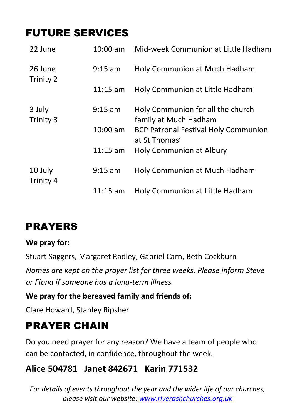## FUTURE SERVICES

| 22 June              | 10:00 am   | Mid-week Communion at Little Hadham                          |
|----------------------|------------|--------------------------------------------------------------|
| 26 June<br>Trinity 2 | $9:15$ am  | Holy Communion at Much Hadham                                |
|                      | $11:15$ am | Holy Communion at Little Hadham                              |
| 3 July<br>Trinity 3  | $9:15$ am  | Holy Communion for all the church<br>family at Much Hadham   |
|                      | 10:00 am   | <b>BCP Patronal Festival Holy Communion</b><br>at St Thomas' |
|                      | $11:15$ am | Holy Communion at Albury                                     |
| 10 July<br>Trinity 4 | $9:15$ am  | Holy Communion at Much Hadham                                |
|                      | $11:15$ am | Holy Communion at Little Hadham                              |

### **PRAYERS**

#### **We pray for:**

Stuart Saggers, Margaret Radley, Gabriel Carn, Beth Cockburn *Names are kept on the prayer list for three weeks. Please inform Steve or Fiona if someone has a long-term illness.*

#### **We pray for the bereaved family and friends of:**

Clare Howard, Stanley Ripsher

### PRAYER CHAIN

Do you need prayer for any reason? We have a team of people who can be contacted, in confidence, throughout the week.

### **Alice 504781 Janet 842671 Karin 771532**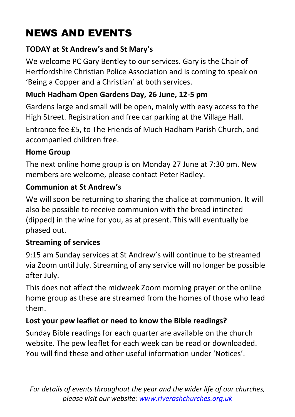# NEWS AND EVENTS

#### **TODAY at St Andrew's and St Mary's**

We welcome PC Gary Bentley to our services. Gary is the Chair of Hertfordshire Christian Police Association and is coming to speak on 'Being a Copper and a Christian' at both services.

### **Much Hadham Open Gardens Day, 26 June, 12-5 pm**

Gardens large and small will be open, mainly with easy access to the High Street. Registration and free car parking at the Village Hall.

Entrance fee £5, to The Friends of Much Hadham Parish Church, and accompanied children free.

#### **Home Group**

The next online home group is on Monday 27 June at 7:30 pm. New members are welcome, please contact Peter Radley.

#### **Communion at St Andrew's**

We will soon be returning to sharing the chalice at communion. It will also be possible to receive communion with the bread intincted (dipped) in the wine for you, as at present. This will eventually be phased out.

#### **Streaming of services**

9:15 am Sunday services at St Andrew's will continue to be streamed via Zoom until July. Streaming of any service will no longer be possible after July.

This does not affect the midweek Zoom morning prayer or the online home group as these are streamed from the homes of those who lead them.

#### **Lost your pew leaflet or need to know the Bible readings?**

Sunday Bible readings for each quarter are available on the church website. The pew leaflet for each week can be read or downloaded. You will find these and other useful information under 'Notices'.